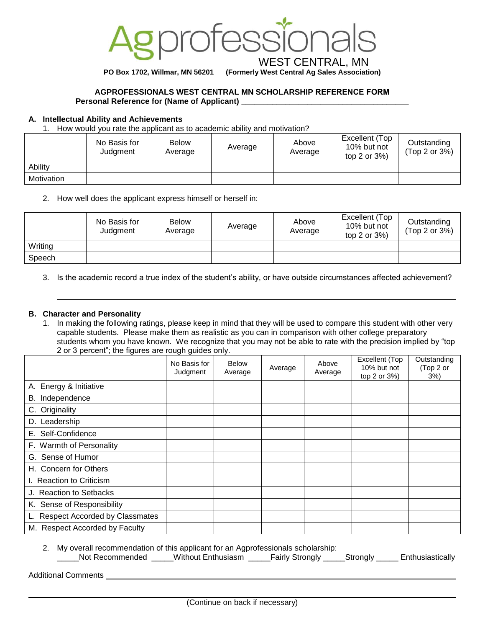

**PO Box 1702, Willmar, MN 56201 (Formerly West Central Ag Sales Association)**

### **AGPROFESSIONALS WEST CENTRAL MN SCHOLARSHIP REFERENCE FORM Personal Reference for (Name of Applicant)**

### **A. Intellectual Ability and Achievements**

1. How would you rate the applicant as to academic ability and motivation?

|            | No Basis for<br>Judgment | <b>Below</b><br>Average | Average | Above<br>Average | Excellent (Top<br>10% but not<br>top 2 or $3\%$ ) | Outstanding<br>(Top 2 or 3%) |
|------------|--------------------------|-------------------------|---------|------------------|---------------------------------------------------|------------------------------|
| Ability    |                          |                         |         |                  |                                                   |                              |
| Motivation |                          |                         |         |                  |                                                   |                              |

2. How well does the applicant express himself or herself in:

|         | No Basis for<br>Judgment | <b>Below</b><br>Average | Average | Above<br>Average | Excellent (Top<br>10% but not<br>top 2 or $3\%$ ) | Outstanding<br>(Top 2 or 3%) |
|---------|--------------------------|-------------------------|---------|------------------|---------------------------------------------------|------------------------------|
| Writing |                          |                         |         |                  |                                                   |                              |
| Speech  |                          |                         |         |                  |                                                   |                              |

3. Is the academic record a true index of the student's ability, or have outside circumstances affected achievement?

## **B. Character and Personality**

1. In making the following ratings, please keep in mind that they will be used to compare this student with other very capable students. Please make them as realistic as you can in comparison with other college preparatory students whom you have known. We recognize that you may not be able to rate with the precision implied by "top 2 or 3 percent"; the figures are rough guides only.

|                                   | No Basis for<br>Judgment | <b>Below</b><br>Average | Average | Above<br>Average | Excellent (Top<br>10% but not<br>top 2 or 3%) | Outstanding<br>(Top 2 or<br>3% |
|-----------------------------------|--------------------------|-------------------------|---------|------------------|-----------------------------------------------|--------------------------------|
| A. Energy & Initiative            |                          |                         |         |                  |                                               |                                |
| B. Independence                   |                          |                         |         |                  |                                               |                                |
| C. Originality                    |                          |                         |         |                  |                                               |                                |
| Leadership<br>D.                  |                          |                         |         |                  |                                               |                                |
| E. Self-Confidence                |                          |                         |         |                  |                                               |                                |
| F. Warmth of Personality          |                          |                         |         |                  |                                               |                                |
| G. Sense of Humor                 |                          |                         |         |                  |                                               |                                |
| H. Concern for Others             |                          |                         |         |                  |                                               |                                |
| I. Reaction to Criticism          |                          |                         |         |                  |                                               |                                |
| J. Reaction to Setbacks           |                          |                         |         |                  |                                               |                                |
| K. Sense of Responsibility        |                          |                         |         |                  |                                               |                                |
| L. Respect Accorded by Classmates |                          |                         |         |                  |                                               |                                |
| M. Respect Accorded by Faculty    |                          |                         |         |                  |                                               |                                |

2. My overall recommendation of this applicant for an Agprofessionals scholarship: \_Not Recommended \_\_\_\_\_Without Enthusiasm \_\_\_\_\_Fairly Strongly \_\_\_\_\_Strongly \_\_\_\_\_ Enthusiastically

Additional Comments